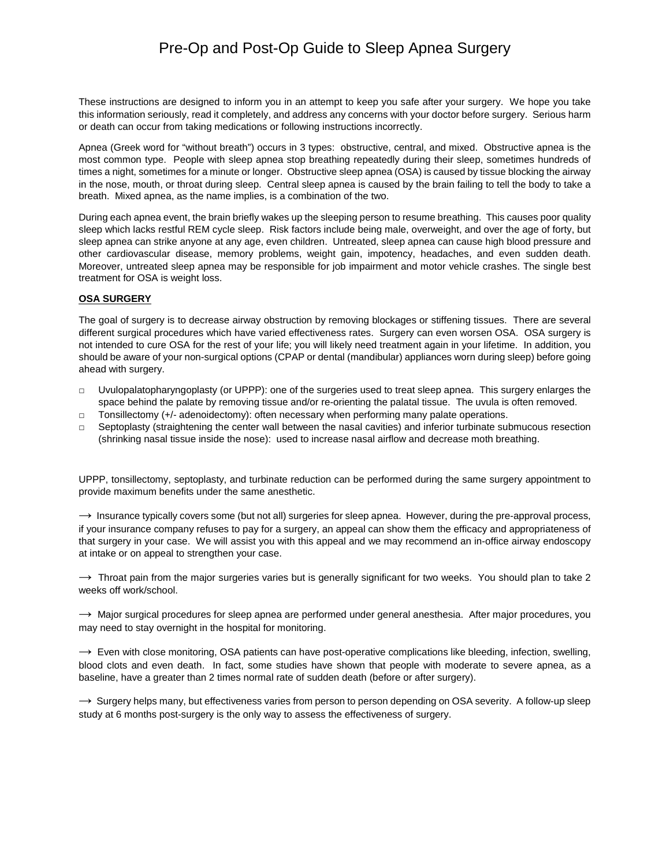# Pre-Op and Post-Op Guide to Sleep Apnea Surgery

These instructions are designed to inform you in an attempt to keep you safe after your surgery. We hope you take this information seriously, read it completely, and address any concerns with your doctor before surgery. Serious harm or death can occur from taking medications or following instructions incorrectly.

Apnea (Greek word for "without breath") occurs in 3 types: obstructive, central, and mixed. Obstructive apnea is the most common type. People with sleep apnea stop breathing repeatedly during their sleep, sometimes hundreds of times a night, sometimes for a minute or longer. Obstructive sleep apnea (OSA) is caused by tissue blocking the airway in the nose, mouth, or throat during sleep. Central sleep apnea is caused by the brain failing to tell the body to take a breath. Mixed apnea, as the name implies, is a combination of the two.

During each apnea event, the brain briefly wakes up the sleeping person to resume breathing. This causes poor quality sleep which lacks restful REM cycle sleep. Risk factors include being male, overweight, and over the age of forty, but sleep apnea can strike anyone at any age, even children. Untreated, sleep apnea can cause high blood pressure and other cardiovascular disease, memory problems, weight gain, impotency, headaches, and even sudden death. Moreover, untreated sleep apnea may be responsible for job impairment and motor vehicle crashes. The single best treatment for OSA is weight loss.

#### **OSA SURGERY**

The goal of surgery is to decrease airway obstruction by removing blockages or stiffening tissues. There are several different surgical procedures which have varied effectiveness rates. Surgery can even worsen OSA. OSA surgery is not intended to cure OSA for the rest of your life; you will likely need treatment again in your lifetime. In addition, you should be aware of your non-surgical options (CPAP or dental (mandibular) appliances worn during sleep) before going ahead with surgery.

- $\Box$  Uvulopalatopharyngoplasty (or UPPP): one of the surgeries used to treat sleep apnea. This surgery enlarges the space behind the palate by removing tissue and/or re-orienting the palatal tissue. The uvula is often removed.
- □ Tonsillectomy (+/- adenoidectomy): often necessary when performing many palate operations.
- □ Septoplasty (straightening the center wall between the nasal cavities) and inferior turbinate submucous resection (shrinking nasal tissue inside the nose): used to increase nasal airflow and decrease moth breathing.

UPPP, tonsillectomy, septoplasty, and turbinate reduction can be performed during the same surgery appointment to provide maximum benefits under the same anesthetic.

 $\rightarrow$  Insurance typically covers some (but not all) surgeries for sleep apnea. However, during the pre-approval process, if your insurance company refuses to pay for a surgery, an appeal can show them the efficacy and appropriateness of that surgery in your case. We will assist you with this appeal and we may recommend an in-office airway endoscopy at intake or on appeal to strengthen your case.

 $\rightarrow$  Throat pain from the major surgeries varies but is generally significant for two weeks. You should plan to take 2 weeks off work/school.

 $\rightarrow$  Major surgical procedures for sleep apnea are performed under general anesthesia. After major procedures, you may need to stay overnight in the hospital for monitoring.

 $\rightarrow$  Even with close monitoring, OSA patients can have post-operative complications like bleeding, infection, swelling, blood clots and even death. In fact, some studies have shown that people with moderate to severe apnea, as a baseline, have a greater than 2 times normal rate of sudden death (before or after surgery).

 $\rightarrow$  Surgery helps many, but effectiveness varies from person to person depending on OSA severity. A follow-up sleep study at 6 months post-surgery is the only way to assess the effectiveness of surgery.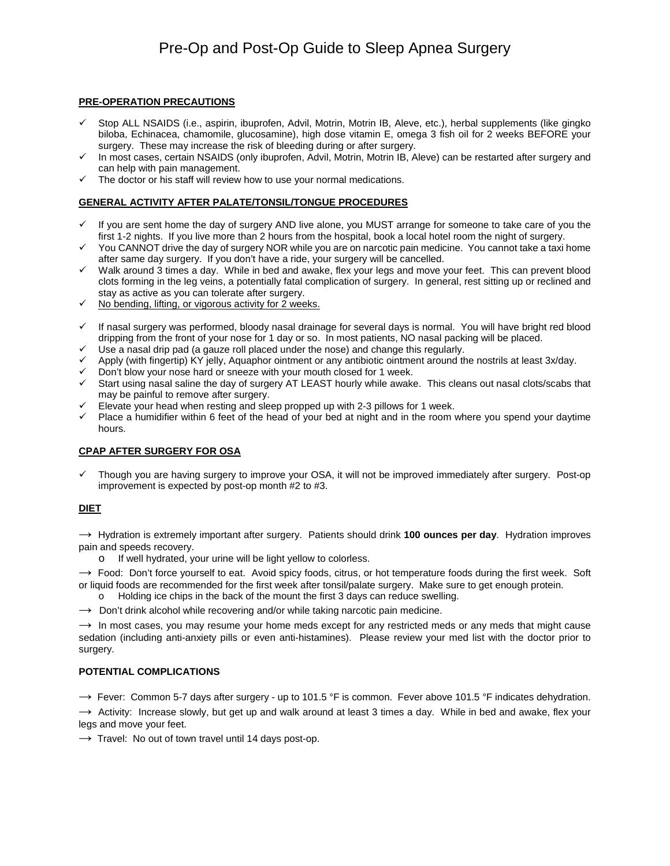## **PRE-OPERATION PRECAUTIONS**

- $\checkmark$  Stop ALL NSAIDS (i.e., aspirin, ibuprofen, Advil, Motrin, Motrin IB, Aleve, etc.), herbal supplements (like gingko biloba, Echinacea, chamomile, glucosamine), high dose vitamin E, omega 3 fish oil for 2 weeks BEFORE your surgery. These may increase the risk of bleeding during or after surgery.
- In most cases, certain NSAIDS (only ibuprofen, Advil, Motrin, Motrin IB, Aleve) can be restarted after surgery and can help with pain management.
- $\checkmark$  The doctor or his staff will review how to use your normal medications.

#### **GENERAL ACTIVITY AFTER PALATE/TONSIL/TONGUE PROCEDURES**

- $\checkmark$  If you are sent home the day of surgery AND live alone, you MUST arrange for someone to take care of you the first 1-2 nights. If you live more than 2 hours from the hospital, book a local hotel room the night of surgery.
- $\checkmark$  You CANNOT drive the day of surgery NOR while you are on narcotic pain medicine. You cannot take a taxi home after same day surgery. If you don't have a ride, your surgery will be cancelled.
- $\checkmark$  Walk around 3 times a day. While in bed and awake, flex your legs and move your feet. This can prevent blood clots forming in the leg veins, a potentially fatal complication of surgery. In general, rest sitting up or reclined and stay as active as you can tolerate after surgery.
- $\checkmark$  No bending, lifting, or vigorous activity for 2 weeks.
- $\checkmark$  If nasal surgery was performed, bloody nasal drainage for several days is normal. You will have bright red blood dripping from the front of your nose for 1 day or so. In most patients, NO nasal packing will be placed.
- $\checkmark$  Use a nasal drip pad (a gauze roll placed under the nose) and change this regularly.
- $\checkmark$  Apply (with fingertip) KY jelly, Aquaphor ointment or any antibiotic ointment around the nostrils at least 3x/day.
- $\checkmark$  Don't blow your nose hard or sneeze with your mouth closed for 1 week.
- $\checkmark$  Start using nasal saline the day of surgery AT LEAST hourly while awake. This cleans out nasal clots/scabs that may be painful to remove after surgery.
- $\checkmark$  Elevate your head when resting and sleep propped up with 2-3 pillows for 1 week.
- $\checkmark$  Place a humidifier within 6 feet of the head of your bed at night and in the room where you spend your daytime hours.

## **CPAP AFTER SURGERY FOR OSA**

 Though you are having surgery to improve your OSA, it will not be improved immediately after surgery. Post-op improvement is expected by post-op month #2 to #3.

## **DIET**

→ Hydration is extremely important after surgery. Patients should drink **100 ounces per day**. Hydration improves pain and speeds recovery.

o If well hydrated, your urine will be light yellow to colorless.

 $\rightarrow$  Food: Don't force yourself to eat. Avoid spicy foods, citrus, or hot temperature foods during the first week. Soft or liquid foods are recommended for the first week after tonsil/palate surgery. Make sure to get enough protein.

- o Holding ice chips in the back of the mount the first 3 days can reduce swelling.
- $\rightarrow$  Don't drink alcohol while recovering and/or while taking narcotic pain medicine.

 $\rightarrow$  In most cases, you may resume your home meds except for any restricted meds or any meds that might cause sedation (including anti-anxiety pills or even anti-histamines). Please review your med list with the doctor prior to surgery.

#### **POTENTIAL COMPLICATIONS**

 $\rightarrow$  Fever: Common 5-7 days after surgery - up to 101.5 °F is common. Fever above 101.5 °F indicates dehydration.

 $\rightarrow$  Activity: Increase slowly, but get up and walk around at least 3 times a day. While in bed and awake, flex your legs and move your feet.

 $\rightarrow$  Travel: No out of town travel until 14 days post-op.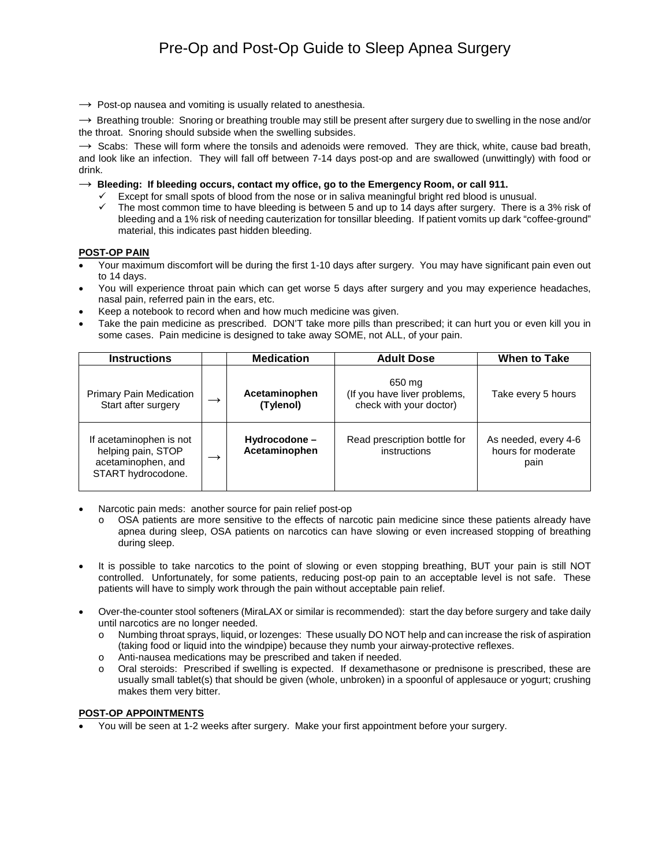$\rightarrow$  Post-op nausea and vomiting is usually related to anesthesia.

 $\rightarrow$  Breathing trouble: Snoring or breathing trouble may still be present after surgery due to swelling in the nose and/or the throat. Snoring should subside when the swelling subsides.

 $\rightarrow$  Scabs: These will form where the tonsils and adenoids were removed. They are thick, white, cause bad breath, and look like an infection. They will fall off between 7-14 days post-op and are swallowed (unwittingly) with food or drink.

 $\rightarrow$  Bleeding: If bleeding occurs, contact my office, go to the Emergency Room, or call 911.

- $\checkmark$  Except for small spots of blood from the nose or in saliva meaningful bright red blood is unusual.
- $\checkmark$  The most common time to have bleeding is between 5 and up to 14 days after surgery. There is a 3% risk of bleeding and a 1% risk of needing cauterization for tonsillar bleeding. If patient vomits up dark "coffee-ground" material, this indicates past hidden bleeding.

#### **POST-OP PAIN**

- Your maximum discomfort will be during the first 1-10 days after surgery. You may have significant pain even out to 14 days.
- You will experience throat pain which can get worse 5 days after surgery and you may experience headaches, nasal pain, referred pain in the ears, etc.
- Keep a notebook to record when and how much medicine was given.
- Take the pain medicine as prescribed. DON'T take more pills than prescribed; it can hurt you or even kill you in some cases. Pain medicine is designed to take away SOME, not ALL, of your pain.

| <b>Instructions</b>                                                                       | <b>Medication</b>              | <b>Adult Dose</b>                                                 | <b>When to Take</b>                                |
|-------------------------------------------------------------------------------------------|--------------------------------|-------------------------------------------------------------------|----------------------------------------------------|
| <b>Primary Pain Medication</b><br>Start after surgery                                     | Acetaminophen<br>(Tylenol)     | 650 mg<br>(If you have liver problems,<br>check with your doctor) | Take every 5 hours                                 |
| If acetaminophen is not<br>helping pain, STOP<br>acetaminophen, and<br>START hydrocodone. | Hydrocodone -<br>Acetaminophen | Read prescription bottle for<br>instructions                      | As needed, every 4-6<br>hours for moderate<br>pain |

- Narcotic pain meds: another source for pain relief post-op
	- o OSA patients are more sensitive to the effects of narcotic pain medicine since these patients already have apnea during sleep, OSA patients on narcotics can have slowing or even increased stopping of breathing during sleep.
- It is possible to take narcotics to the point of slowing or even stopping breathing, BUT your pain is still NOT controlled. Unfortunately, for some patients, reducing post-op pain to an acceptable level is not safe. These patients will have to simply work through the pain without acceptable pain relief.
- Over-the-counter stool softeners (MiraLAX or similar is recommended): start the day before surgery and take daily until narcotics are no longer needed.
	- o Numbing throat sprays, liquid, or lozenges: These usually DO NOT help and can increase the risk of aspiration (taking food or liquid into the windpipe) because they numb your airway-protective reflexes.
	- o Anti-nausea medications may be prescribed and taken if needed.
	- o Oral steroids: Prescribed if swelling is expected. If dexamethasone or prednisone is prescribed, these are usually small tablet(s) that should be given (whole, unbroken) in a spoonful of applesauce or yogurt; crushing makes them very bitter.

## **POST-OP APPOINTMENTS**

• You will be seen at 1-2 weeks after surgery. Make your first appointment before your surgery.